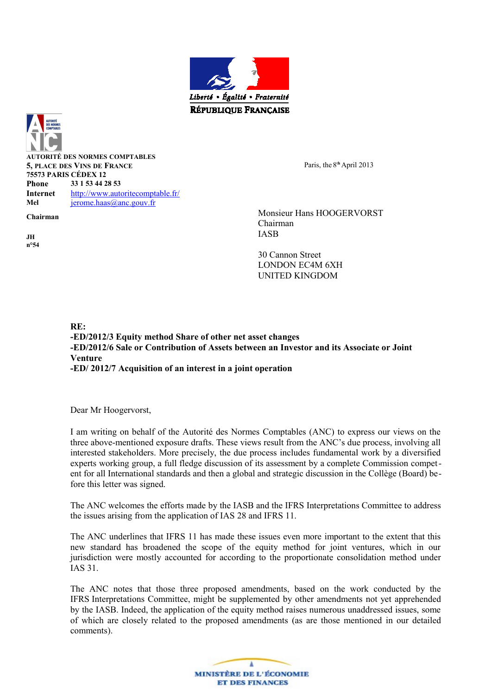



**AUTORITÉ DES NORMES COMPTABLES 5, PLACE DES VINS DE FRANCE 75573 PARIS CÉDEX 12 Phone 33 1 53 44 28 53 Internet** [http://www.autoritecomptable.fr/](http://www.anc.gouv.fr/) Mel **[jerome.haas@anc.gouv.fr](mailto:jerome.haas@anc.gouv.fr)** 

**JH n°54** Paris, the 8<sup>th</sup> April 2013

**Chairman** Monsieur Hans HOOGERVORST Chairman IASB

> 30 Cannon Street LONDON EC4M 6XH UNITED KINGDOM

**RE: -ED/2012/3 Equity method Share of other net asset changes -ED/2012/6 Sale or Contribution of Assets between an Investor and its Associate or Joint Venture -ED/ 2012/7 Acquisition of an interest in a joint operation**

Dear Mr Hoogervorst,

I am writing on behalf of the Autorité des Normes Comptables (ANC) to express our views on the three above-mentioned exposure drafts. These views result from the ANC's due process, involving all interested stakeholders. More precisely, the due process includes fundamental work by a diversified experts working group, a full fledge discussion of its assessment by a complete Commission competent for all International standards and then a global and strategic discussion in the Collège (Board) before this letter was signed.

The ANC welcomes the efforts made by the IASB and the IFRS Interpretations Committee to address the issues arising from the application of IAS 28 and IFRS 11.

The ANC underlines that IFRS 11 has made these issues even more important to the extent that this new standard has broadened the scope of the equity method for joint ventures, which in our jurisdiction were mostly accounted for according to the proportionate consolidation method under IAS 31.

The ANC notes that those three proposed amendments, based on the work conducted by the IFRS Interpretations Committee, might be supplemented by other amendments not yet apprehended by the IASB. Indeed, the application of the equity method raises numerous unaddressed issues, some of which are closely related to the proposed amendments (as are those mentioned in our detailed comments).

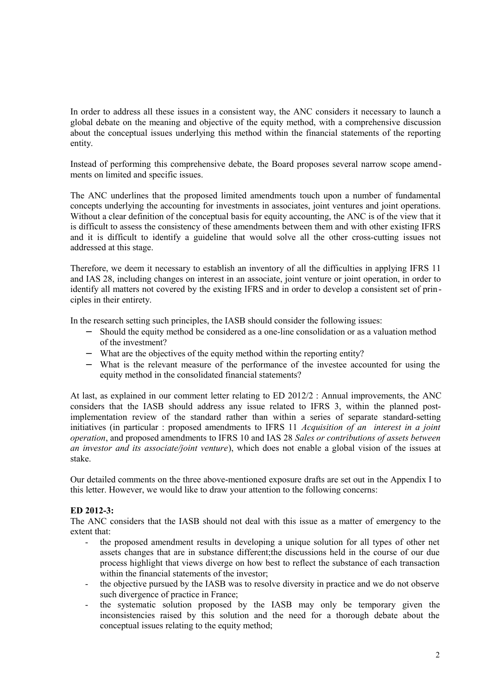In order to address all these issues in a consistent way, the ANC considers it necessary to launch a global debate on the meaning and objective of the equity method, with a comprehensive discussion about the conceptual issues underlying this method within the financial statements of the reporting entity.

Instead of performing this comprehensive debate, the Board proposes several narrow scope amendments on limited and specific issues.

The ANC underlines that the proposed limited amendments touch upon a number of fundamental concepts underlying the accounting for investments in associates, joint ventures and joint operations. Without a clear definition of the conceptual basis for equity accounting, the ANC is of the view that it is difficult to assess the consistency of these amendments between them and with other existing IFRS and it is difficult to identify a guideline that would solve all the other cross-cutting issues not addressed at this stage.

Therefore, we deem it necessary to establish an inventory of all the difficulties in applying IFRS 11 and IAS 28, including changes on interest in an associate, joint venture or joint operation, in order to identify all matters not covered by the existing IFRS and in order to develop a consistent set of principles in their entirety.

In the research setting such principles, the IASB should consider the following issues:

- − Should the equity method be considered as a one-line consolidation or as a valuation method of the investment?
- − What are the objectives of the equity method within the reporting entity?
- − What is the relevant measure of the performance of the investee accounted for using the equity method in the consolidated financial statements?

At last, as explained in our comment letter relating to ED 2012/2 : Annual improvements, the ANC considers that the IASB should address any issue related to IFRS 3, within the planned postimplementation review of the standard rather than within a series of separate standard-setting initiatives (in particular : proposed amendments to IFRS 11 *Acquisition of an interest in a joint operation*, and proposed amendments to IFRS 10 and IAS 28 *Sales or contributions of assets between an investor and its associate/joint venture*), which does not enable a global vision of the issues at stake.

Our detailed comments on the three above-mentioned exposure drafts are set out in the Appendix I to this letter. However, we would like to draw your attention to the following concerns:

#### **ED 2012-3:**

The ANC considers that the IASB should not deal with this issue as a matter of emergency to the extent that:

- the proposed amendment results in developing a unique solution for all types of other net assets changes that are in substance different;the discussions held in the course of our due process highlight that views diverge on how best to reflect the substance of each transaction within the financial statements of the investor:
- the objective pursued by the IASB was to resolve diversity in practice and we do not observe such divergence of practice in France;
- the systematic solution proposed by the IASB may only be temporary given the inconsistencies raised by this solution and the need for a thorough debate about the conceptual issues relating to the equity method;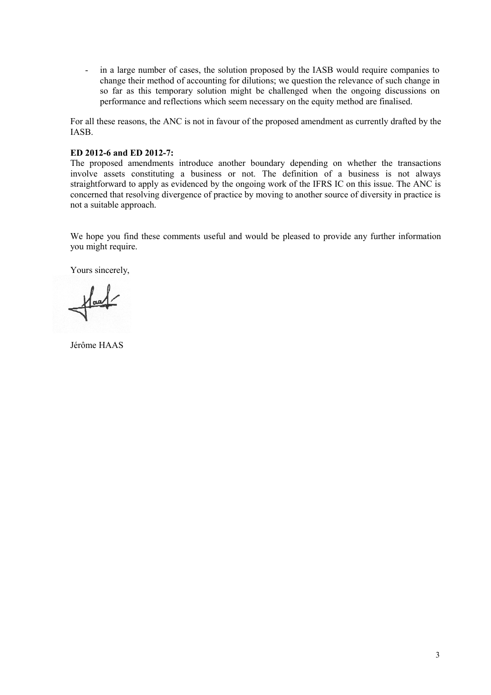- in a large number of cases, the solution proposed by the IASB would require companies to change their method of accounting for dilutions; we question the relevance of such change in so far as this temporary solution might be challenged when the ongoing discussions on performance and reflections which seem necessary on the equity method are finalised.

For all these reasons, the ANC is not in favour of the proposed amendment as currently drafted by the IASB.

#### **ED 2012-6 and ED 2012-7:**

The proposed amendments introduce another boundary depending on whether the transactions involve assets constituting a business or not. The definition of a business is not always straightforward to apply as evidenced by the ongoing work of the IFRS IC on this issue. The ANC is concerned that resolving divergence of practice by moving to another source of diversity in practice is not a suitable approach.

We hope you find these comments useful and would be pleased to provide any further information you might require.

Yours sincerely,

 $\sqrt{\frac{1}{2}}$ 

Jérôme HAAS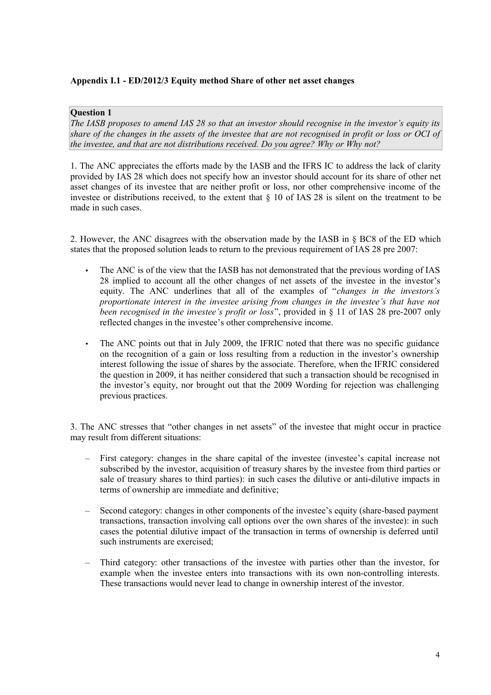# **Appendix I.1 - ED/2012/3 Equity method Share of other net asset changes**

# **Question 1**

*The IASB proposes to amend IAS 28 so that an investor should recognise in the investor's equity its share of the changes in the assets of the investee that are not recognised in profit or loss or OCI of the investee, and that are not distributions received. Do you agree? Why or Why not?*

1. The ANC appreciates the efforts made by the IASB and the IFRS IC to address the lack of clarity provided by IAS 28 which does not specify how an investor should account for its share of other net asset changes of its investee that are neither profit or loss, nor other comprehensive income of the investee or distributions received, to the extent that § 10 of IAS 28 is silent on the treatment to be made in such cases.

2. However, the ANC disagrees with the observation made by the IASB in § BC8 of the ED which states that the proposed solution leads to return to the previous requirement of IAS 28 pre 2007:

- The ANC is of the view that the IASB has not demonstrated that the previous wording of IAS 28 implied to account all the other changes of net assets of the investee in the investor's equity. The ANC underlines that all of the examples of "*changes in the investors's proportionate interest in the investee arising from changes in the investee's that have not been recognised in the investee's profit or loss*", provided in § 11 of IAS 28 pre-2007 only reflected changes in the investee's other comprehensive income.
- The ANC points out that in July 2009, the IFRIC noted that there was no specific guidance on the recognition of a gain or loss resulting from a reduction in the investor's ownership interest following the issue of shares by the associate. Therefore, when the IFRIC considered the question in 2009, it has neither considered that such a transaction should be recognised in the investor's equity, nor brought out that the 2009 Wording for rejection was challenging previous practices.

3. The ANC stresses that "other changes in net assets" of the investee that might occur in practice may result from different situations:

- First category: changes in the share capital of the investee (investee's capital increase not subscribed by the investor, acquisition of treasury shares by the investee from third parties or sale of treasury shares to third parties): in such cases the dilutive or anti-dilutive impacts in terms of ownership are immediate and definitive;
- Second category: changes in other components of the investee's equity (share-based payment transactions, transaction involving call options over the own shares of the investee): in such cases the potential dilutive impact of the transaction in terms of ownership is deferred until such instruments are exercised;
- Third category: other transactions of the investee with parties other than the investor, for example when the investee enters into transactions with its own non-controlling interests. These transactions would never lead to change in ownership interest of the investor.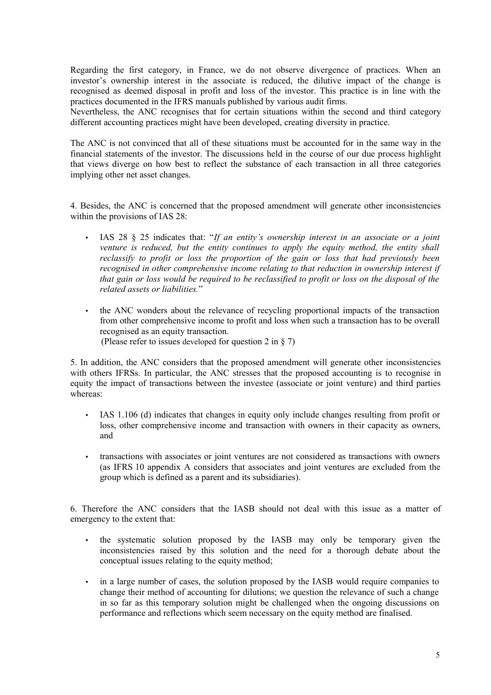Regarding the first category, in France, we do not observe divergence of practices. When an investor's ownership interest in the associate is reduced, the dilutive impact of the change is recognised as deemed disposal in profit and loss of the investor. This practice is in line with the practices documented in the IFRS manuals published by various audit firms.

Nevertheless, the ANC recognises that for certain situations within the second and third category different accounting practices might have been developed, creating diversity in practice.

The ANC is not convinced that all of these situations must be accounted for in the same way in the financial statements of the investor. The discussions held in the course of our due process highlight that views diverge on how best to reflect the substance of each transaction in all three categories implying other net asset changes.

4. Besides, the ANC is concerned that the proposed amendment will generate other inconsistencies within the provisions of IAS 28:

- IAS 28 § 25 indicates that: "*If an entity's ownership interest in an associate or a joint venture is reduced, but the entity continues to apply the equity method, the entity shall reclassify to profit or loss the proportion of the gain or loss that had previously been recognised in other comprehensive income relating to that reduction in ownership interest if that gain or loss would be required to be reclassified to profit or loss on the disposal of the related assets or liabilities.*"
- the ANC wonders about the relevance of recycling proportional impacts of the transaction from other comprehensive income to profit and loss when such a transaction has to be overall recognised as an equity transaction. (Please refer to issues developed for question 2 in § 7)

5. In addition, the ANC considers that the proposed amendment will generate other inconsistencies with others IFRSs. In particular, the ANC stresses that the proposed accounting is to recognise in equity the impact of transactions between the investee (associate or joint venture) and third parties whereas:

- IAS 1.106 (d) indicates that changes in equity only include changes resulting from profit or loss, other comprehensive income and transaction with owners in their capacity as owners, and
- transactions with associates or joint ventures are not considered as transactions with owners (as IFRS 10 appendix A considers that associates and joint ventures are excluded from the group which is defined as a parent and its subsidiaries).

6. Therefore the ANC considers that the IASB should not deal with this issue as a matter of emergency to the extent that:

- the systematic solution proposed by the IASB may only be temporary given the inconsistencies raised by this solution and the need for a thorough debate about the conceptual issues relating to the equity method;
- in a large number of cases, the solution proposed by the IASB would require companies to change their method of accounting for dilutions; we question the relevance of such a change in so far as this temporary solution might be challenged when the ongoing discussions on performance and reflections which seem necessary on the equity method are finalised.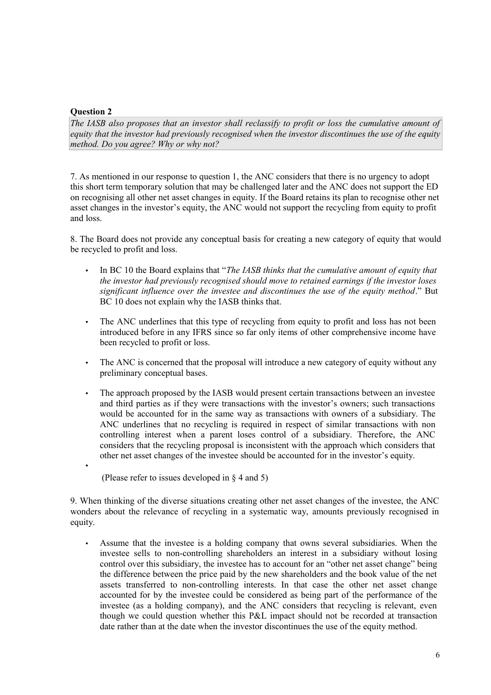# **Question 2**

•

*The IASB also proposes that an investor shall reclassify to profit or loss the cumulative amount of equity that the investor had previously recognised when the investor discontinues the use of the equity method. Do you agree? Why or why not?*

7. As mentioned in our response to question 1, the ANC considers that there is no urgency to adopt this short term temporary solution that may be challenged later and the ANC does not support the ED on recognising all other net asset changes in equity. If the Board retains its plan to recognise other net asset changes in the investor's equity, the ANC would not support the recycling from equity to profit and loss.

8. The Board does not provide any conceptual basis for creating a new category of equity that would be recycled to profit and loss.

- In BC 10 the Board explains that "*The IASB thinks that the cumulative amount of equity that the investor had previously recognised should move to retained earnings if the investor loses significant influence over the investee and discontinues the use of the equity method*." But BC 10 does not explain why the IASB thinks that.
- The ANC underlines that this type of recycling from equity to profit and loss has not been introduced before in any IFRS since so far only items of other comprehensive income have been recycled to profit or loss.
- The ANC is concerned that the proposal will introduce a new category of equity without any preliminary conceptual bases.
- The approach proposed by the IASB would present certain transactions between an investee and third parties as if they were transactions with the investor's owners; such transactions would be accounted for in the same way as transactions with owners of a subsidiary. The ANC underlines that no recycling is required in respect of similar transactions with non controlling interest when a parent loses control of a subsidiary. Therefore, the ANC considers that the recycling proposal is inconsistent with the approach which considers that other net asset changes of the investee should be accounted for in the investor's equity.
	- (Please refer to issues developed in § 4 and 5)

9. When thinking of the diverse situations creating other net asset changes of the investee, the ANC wonders about the relevance of recycling in a systematic way, amounts previously recognised in equity.

Assume that the investee is a holding company that owns several subsidiaries. When the investee sells to non-controlling shareholders an interest in a subsidiary without losing control over this subsidiary, the investee has to account for an "other net asset change" being the difference between the price paid by the new shareholders and the book value of the net assets transferred to non-controlling interests. In that case the other net asset change accounted for by the investee could be considered as being part of the performance of the investee (as a holding company), and the ANC considers that recycling is relevant, even though we could question whether this P&L impact should not be recorded at transaction date rather than at the date when the investor discontinues the use of the equity method.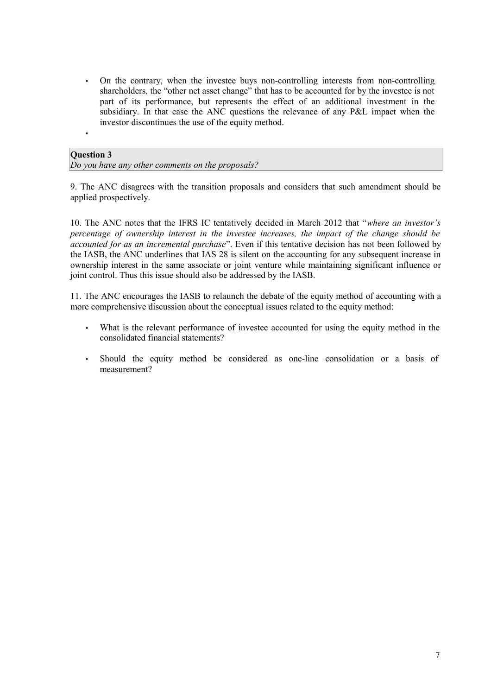• On the contrary, when the investee buys non-controlling interests from non-controlling shareholders, the "other net asset change" that has to be accounted for by the investee is not part of its performance, but represents the effect of an additional investment in the subsidiary. In that case the ANC questions the relevance of any P&L impact when the investor discontinues the use of the equity method.

# **Question 3**

•

*Do you have any other comments on the proposals?*

9. The ANC disagrees with the transition proposals and considers that such amendment should be applied prospectively.

10. The ANC notes that the IFRS IC tentatively decided in March 2012 that "*where an investor's percentage of ownership interest in the investee increases, the impact of the change should be accounted for as an incremental purchase*". Even if this tentative decision has not been followed by the IASB, the ANC underlines that IAS 28 is silent on the accounting for any subsequent increase in ownership interest in the same associate or joint venture while maintaining significant influence or joint control. Thus this issue should also be addressed by the IASB.

11. The ANC encourages the IASB to relaunch the debate of the equity method of accounting with a more comprehensive discussion about the conceptual issues related to the equity method:

- What is the relevant performance of investee accounted for using the equity method in the consolidated financial statements?
- Should the equity method be considered as one-line consolidation or a basis of measurement?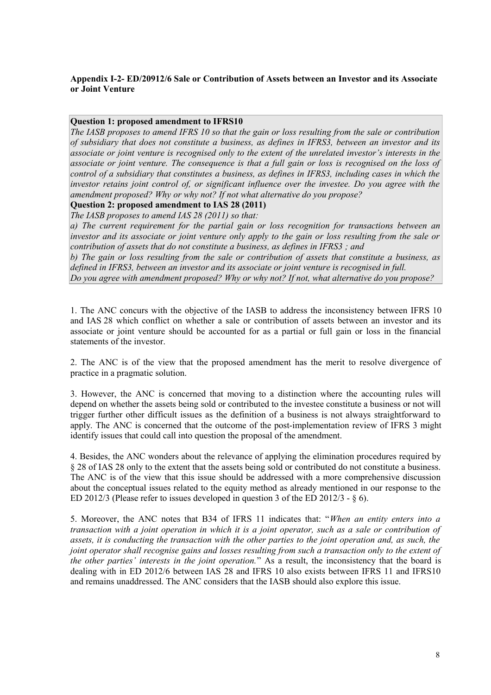# **Appendix I-2- ED/20912/6 Sale or Contribution of Assets between an Investor and its Associate or Joint Venture**

#### **Question 1: proposed amendment to IFRS10**

*The IASB proposes to amend IFRS 10 so that the gain or loss resulting from the sale or contribution of subsidiary that does not constitute a business, as defines in IFRS3, between an investor and its associate or joint venture is recognised only to the extent of the unrelated investor's interests in the associate or joint venture. The consequence is that a full gain or loss is recognised on the loss of control of a subsidiary that constitutes a business, as defines in IFRS3, including cases in which the investor retains joint control of, or significant influence over the investee. Do you agree with the amendment proposed? Why or why not? If not what alternative do you propose?*

# **Question 2: proposed amendment to IAS 28 (2011)**

*The IASB proposes to amend IAS 28 (2011) so that:*

*a) The current requirement for the partial gain or loss recognition for transactions between an investor and its associate or joint venture only apply to the gain or loss resulting from the sale or contribution of assets that do not constitute a business, as defines in IFRS3 ; and*

*b) The gain or loss resulting from the sale or contribution of assets that constitute a business, as defined in IFRS3, between an investor and its associate or joint venture is recognised in full. Do you agree with amendment proposed? Why or why not? If not, what alternative do you propose?*

1. The ANC concurs with the objective of the IASB to address the inconsistency between IFRS 10 and IAS 28 which conflict on whether a sale or contribution of assets between an investor and its associate or joint venture should be accounted for as a partial or full gain or loss in the financial statements of the investor.

2. The ANC is of the view that the proposed amendment has the merit to resolve divergence of practice in a pragmatic solution.

3. However, the ANC is concerned that moving to a distinction where the accounting rules will depend on whether the assets being sold or contributed to the investee constitute a business or not will trigger further other difficult issues as the definition of a business is not always straightforward to apply. The ANC is concerned that the outcome of the post-implementation review of IFRS 3 might identify issues that could call into question the proposal of the amendment.

4. Besides, the ANC wonders about the relevance of applying the elimination procedures required by § 28 of IAS 28 only to the extent that the assets being sold or contributed do not constitute a business. The ANC is of the view that this issue should be addressed with a more comprehensive discussion about the conceptual issues related to the equity method as already mentioned in our response to the ED 2012/3 (Please refer to issues developed in question 3 of the ED 2012/3 - § 6).

5. Moreover, the ANC notes that B34 of IFRS 11 indicates that: "*When an entity enters into a transaction with a joint operation in which it is a joint operator, such as a sale or contribution of assets, it is conducting the transaction with the other parties to the joint operation and, as such, the joint operator shall recognise gains and losses resulting from such a transaction only to the extent of the other parties' interests in the joint operation.*" As a result, the inconsistency that the board is dealing with in ED 2012/6 between IAS 28 and IFRS 10 also exists between IFRS 11 and IFRS10 and remains unaddressed. The ANC considers that the IASB should also explore this issue.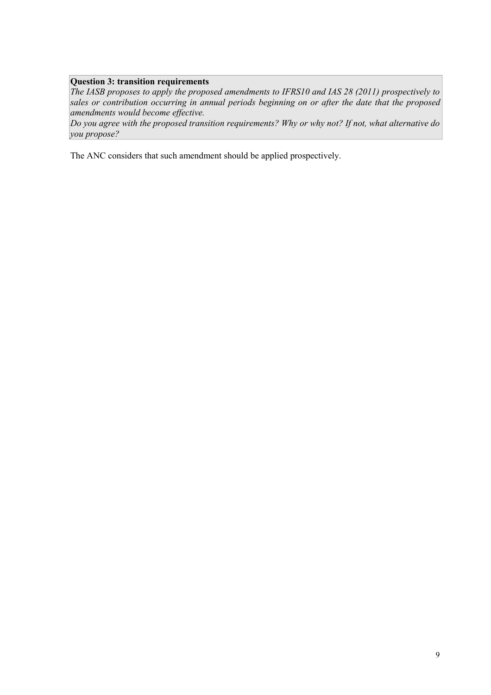# **Question 3: transition requirements**

*The IASB proposes to apply the proposed amendments to IFRS10 and IAS 28 (2011) prospectively to sales or contribution occurring in annual periods beginning on or after the date that the proposed amendments would become effective.* 

*Do you agree with the proposed transition requirements? Why or why not? If not, what alternative do you propose?*

The ANC considers that such amendment should be applied prospectively.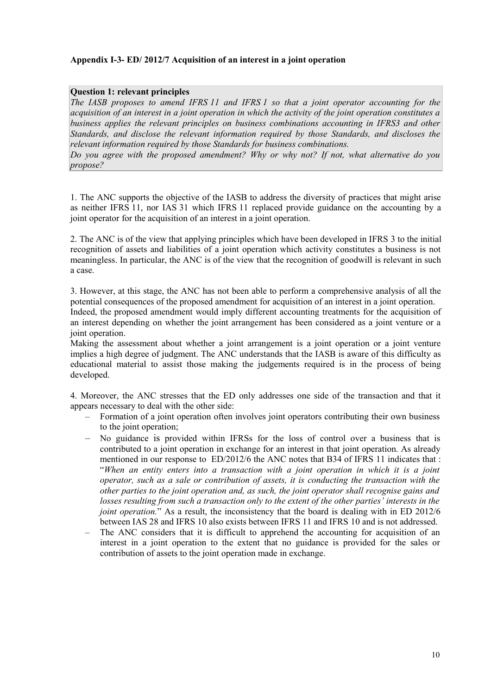### **Appendix I-3- ED/ 2012/7 Acquisition of an interest in a joint operation**

#### **Question 1: relevant principles**

*The IASB proposes to amend IFRS 11 and IFRS 1 so that a joint operator accounting for the acquisition of an interest in a joint operation in which the activity of the joint operation constitutes a business applies the relevant principles on business combinations accounting in IFRS3 and other Standards, and disclose the relevant information required by those Standards, and discloses the relevant information required by those Standards for business combinations.* 

*Do you agree with the proposed amendment? Why or why not? If not, what alternative do you propose?*

1. The ANC supports the objective of the IASB to address the diversity of practices that might arise as neither IFRS 11, nor IAS 31 which IFRS 11 replaced provide guidance on the accounting by a joint operator for the acquisition of an interest in a joint operation.

2. The ANC is of the view that applying principles which have been developed in IFRS 3 to the initial recognition of assets and liabilities of a joint operation which activity constitutes a business is not meaningless. In particular, the ANC is of the view that the recognition of goodwill is relevant in such a case.

3. However, at this stage, the ANC has not been able to perform a comprehensive analysis of all the potential consequences of the proposed amendment for acquisition of an interest in a joint operation. Indeed, the proposed amendment would imply different accounting treatments for the acquisition of an interest depending on whether the joint arrangement has been considered as a joint venture or a joint operation.

Making the assessment about whether a joint arrangement is a joint operation or a joint venture implies a high degree of judgment. The ANC understands that the IASB is aware of this difficulty as educational material to assist those making the judgements required is in the process of being developed.

4. Moreover, the ANC stresses that the ED only addresses one side of the transaction and that it appears necessary to deal with the other side:

- Formation of a joint operation often involves joint operators contributing their own business to the joint operation;
- No guidance is provided within IFRSs for the loss of control over a business that is contributed to a joint operation in exchange for an interest in that joint operation. As already mentioned in our response to ED/2012/6 the ANC notes that B34 of IFRS 11 indicates that : "*When an entity enters into a transaction with a joint operation in which it is a joint operator, such as a sale or contribution of assets, it is conducting the transaction with the other parties to the joint operation and, as such, the joint operator shall recognise gains and losses resulting from such a transaction only to the extent of the other parties' interests in the joint operation.*" As a result, the inconsistency that the board is dealing with in ED 2012/6 between IAS 28 and IFRS 10 also exists between IFRS 11 and IFRS 10 and is not addressed.
- The ANC considers that it is difficult to apprehend the accounting for acquisition of an interest in a joint operation to the extent that no guidance is provided for the sales or contribution of assets to the joint operation made in exchange.